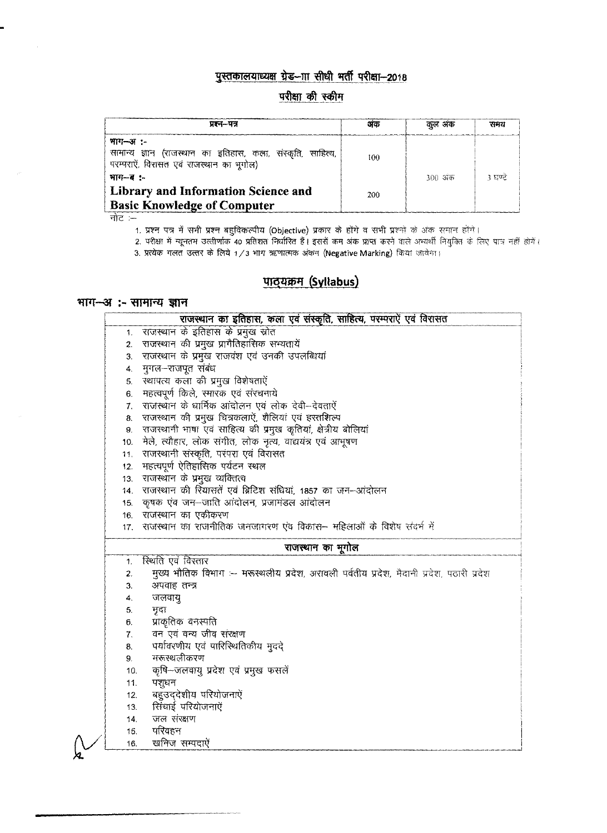# पुस्तकालयाध्यक्ष ग्रेड-गा सीधी मर्ती परीक्षा-2018

## परीक्षा की स्कीम

| प्रश्न–पत्र                                                                                                       | अक  | कल अक  | समय     |
|-------------------------------------------------------------------------------------------------------------------|-----|--------|---------|
| भाग-अ -<br>सामान्य ज्ञान (राजस्थान का इतिहास, कला, संस्कृति, साहित्य,<br>परम्पराऐं, विरासत एवं राजस्थान का भूगोल) | 100 |        |         |
| भाग—ब                                                                                                             |     | 300 अक | 3 ਬਾਅਦੇ |
| Library and Information Science and                                                                               | 200 |        |         |
| <b>Basic Knowledge of Computer</b>                                                                                |     |        |         |

<u>नोट :--</u>

- 1. प्रश्न पत्र में सभी प्रश्न बहुविकल्पीय (Objective) प्रकार के होंगे व सभी प्रश्नों के अंक समान होंगे।
- 2. परीक्षा में न्यूनतम उत्त्तीर्णाक 40 प्रतिशत मिर्घारित हैं। इससे कम अंक प्राप्त करने वाले अभ्यर्थी नियुक्ति के लिए पात्र नहीं होगें।

3. प्रत्येक गलत उत्तर के लिये 1/3 भाग ऋणात्मक अंकन (Negative Marking) किया जायेगा।

## पाठ्यक्रम (Syllabus)

#### भाग-अ:- सामान्य ज्ञान

|                 | राजस्थान का इतिहास, कला एवं संस्कृति, साहित्य, परम्पराऐं एवं विरासत                        |  |  |
|-----------------|--------------------------------------------------------------------------------------------|--|--|
| 1.              | राजस्थान के इतिहास के प्रमुख स्रोत                                                         |  |  |
| 2.              | राजस्थान की प्रमुख प्रागैतिहासिक सभ्यतायें                                                 |  |  |
| 3.              | राजस्थान के प्रमुख राजवंश एवं उनकी उपलब्धियां                                              |  |  |
| 4.              | मुगल–राजपूत संबंध                                                                          |  |  |
| 5.              | स्थापत्य कला की प्रमुख विशेषताएँ                                                           |  |  |
| 6.              | महत्वपूर्ण किले, स्मारक एवं संरचनाये                                                       |  |  |
| 7.              | राजस्थान के धार्मिक आंदोलन एवं लोक देवी-देवताऐं                                            |  |  |
| 8.              | राजस्थान की प्रमुख चित्रकलाऐं, शैलियां एवं हस्तशिल्प                                       |  |  |
| 9.              | राजस्थानी भाषा एवं साहित्य की प्रमुख कृतियां, क्षेत्रीय बोलियां                            |  |  |
| 10.             | मेले, त्यौहार, लोक संगीत, लोक नृत्य, वाद्ययंत्र एवं आभूषण                                  |  |  |
| 11.             | राजस्थानी संस्कृति, परंपरा एवं विरासत                                                      |  |  |
| 12.             | महत्वपूर्ण ऐतिहासिक पर्यटन स्थल                                                            |  |  |
| 13.             | राजस्थान के प्रमुख व्यक्तित्व                                                              |  |  |
| 14              | राजस्थान की रियासतें एवं ब्रिटिश संधिया, 1857 का जन-आंदोलन                                 |  |  |
| 15 <sub>1</sub> | कृषक एंव जन-जाति आंदोलन, प्रजामंडल आंदोलन                                                  |  |  |
| 16.             | राजस्थान का एकीकरण                                                                         |  |  |
| 17.             | राजस्थान का राजनीतिक जनजागरण एवं विकास- महिलाओं के विशेष संदर्भ में                        |  |  |
|                 | राजस्थान का मूगोल                                                                          |  |  |
| 1.              | स्थिति एवं विस्तार                                                                         |  |  |
| 2.              | मुख्य भौतिक विभाग :-- मरूस्थलीय प्रदेश, अरावली पर्वतीय प्रदेश, मैदानी प्रदेश, पठारी प्रदेश |  |  |
| 3.              | अपवाह तन्त्र                                                                               |  |  |
| 4.              | जलवायु                                                                                     |  |  |
| 5.              | मृदा                                                                                       |  |  |
| 6.              | प्राकृतिक वनस्पति                                                                          |  |  |
| 7.              | वन एवं वन्य जीव संरक्षण                                                                    |  |  |
| 8.              | पर्यावरणीय एवं पारिस्थितिकीय मुददे                                                         |  |  |
| 9.              | मरूस्थलीकरण                                                                                |  |  |
| 10.             | कृषि–जलवायु प्रदेश एवं प्रमुख फसलें                                                        |  |  |
| 11.             | पशुधन                                                                                      |  |  |
| 12.             | बहुउद्देशीय परियोजनाऐं                                                                     |  |  |
| 13.             | सिंचाई परियोजनाएँ                                                                          |  |  |
|                 |                                                                                            |  |  |
| 14.             | जल संरक्षण                                                                                 |  |  |
| 15.<br>16.      | परिवहन<br>खनिज सम्पदाऐं                                                                    |  |  |